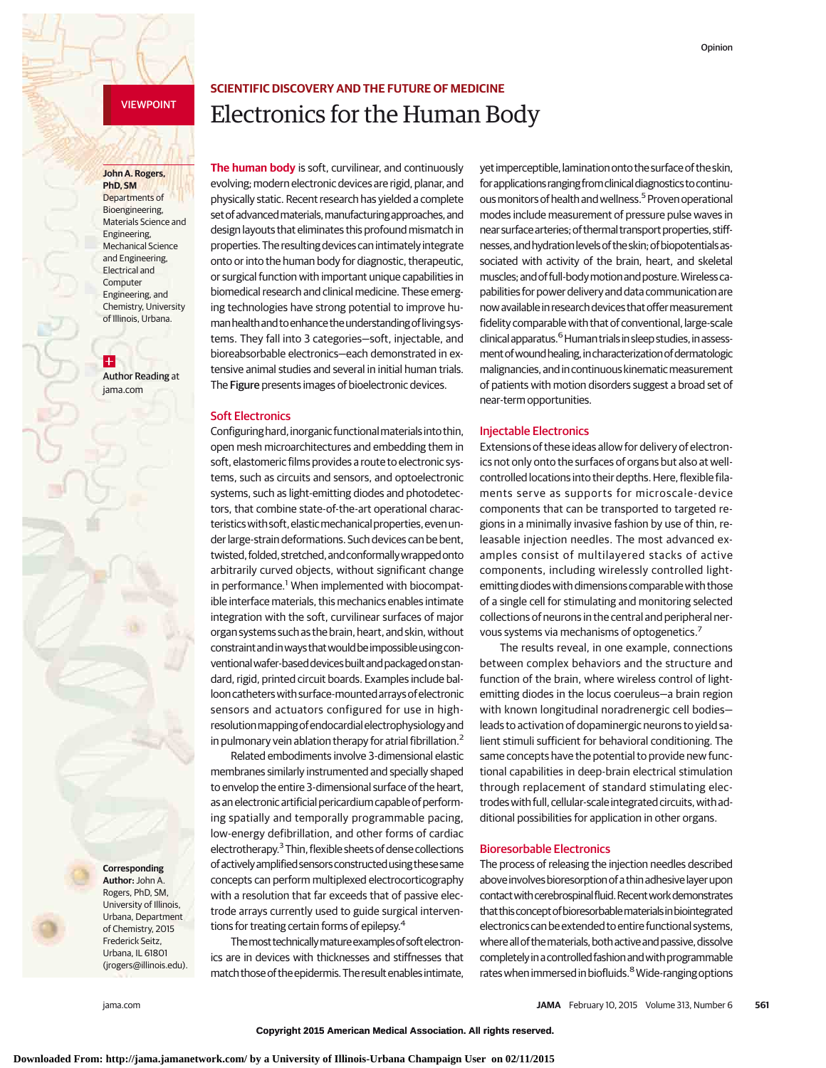# VIEWPOINT

#### **John A. Rogers, PhD, SM**

Departments of Bioengineering, Materials Science and Engineering, Mechanical Science and Engineering, Electrical and Computer Engineering, and Chemistry, University of Illinois, Urbana.

 $\pm$ Author Reading at jama.com

**Corresponding Author:** John A. Rogers, PhD, SM, University of Illinois, Urbana, Department of Chemistry, 2015 Frederick Seitz, Urbana, IL 61801

(jrogers@illinois.edu).

# **SCIENTIFIC DISCOVERY AND THE FUTURE OF MEDICINE** Electronics for the Human Body

**The human body** is soft, curvilinear, and continuously evolving; modern electronic devices are rigid, planar, and physically static. Recent research has yielded a complete set of advanced materials, manufacturing approaches, and design layouts that eliminates this profound mismatch in properties. The resulting devices can intimately integrate onto or into the human body for diagnostic, therapeutic, or surgical function with important unique capabilities in biomedical research and clinical medicine. These emerging technologies have strong potential to improve humanhealthand toenhance theunderstandingoflivingsystems. They fall into 3 categories—soft, injectable, and bioreabsorbable electronics—each demonstrated in extensive animal studies and several in initial human trials. The Figure presents images of bioelectronic devices.

#### Soft Electronics

Configuringhard,inorganic functionalmaterialsinto thin, open mesh microarchitectures and embedding them in soft, elastomeric films provides a route to electronic systems, such as circuits and sensors, and optoelectronic systems, such as light-emitting diodes and photodetectors, that combine state-of-the-art operational characteristics with soft, elastic mechanical properties, even under large-strain deformations. Such devices can be bent, twisted, folded, stretched, and conformally wrapped onto arbitrarily curved objects, without significant change in performance.<sup>1</sup> When implemented with biocompatible interface materials, this mechanics enables intimate integration with the soft, curvilinear surfaces of major organ systems such as the brain, heart, and skin, without constraintandinways thatwouldbeimpossibleusingconventionalwafer-baseddevicesbuiltandpackagedonstandard, rigid, printed circuit boards. Examples include ballooncatheterswith surface-mountedarraysofelectronic sensors and actuators configured for use in highresolutionmappingofendocardialelectrophysiologyand in pulmonary vein ablation therapy for atrial fibrillation.<sup>2</sup>

Related embodiments involve 3-dimensional elastic membranes similarly instrumented and specially shaped to envelop the entire 3-dimensional surface of the heart, as anelectronic artificial pericardium capable of performing spatially and temporally programmable pacing, low-energy defibrillation, and other forms of cardiac electrotherapy.3Thin, flexible sheets of dense collections ofactivelyamplifiedsensorsconstructedusing thesesame concepts can perform multiplexed electrocorticography with a resolution that far exceeds that of passive electrode arrays currently used to guide surgical interventions for treating certain forms of epilepsy.4

Themosttechnicallymatureexamplesofsoftelectronics are in devices with thicknesses and stiffnesses that match those of the epidermis. The result enables intimate,

**Downloaded From: http://jama.jamanetwork.com/ by a University of Illinois-Urbana Champaign User on 02/11/2015**

yet imperceptible, lamination onto the surface of the skin, forapplications ranging fromclinicaldiagnostics tocontinuous monitors of health and wellness.<sup>5</sup> Proven operational modes include measurement of pressure pulse waves in near surface arteries; of thermal transport properties, stiffnesses, and hydration levels of the skin; of biopotentials associated with activity of the brain, heart, and skeletal muscles;andof full-bodymotionandposture.Wirelesscapabilities for power delivery and data communication are nowavailablein research devices that offermeasurement fidelity comparable with that of conventional, large-scale  $clinical apparatus.<sup>6</sup> Human trials in sleep studies, in assess$ ment of wound healing, in characterization of dermatologic malignancies, and in continuous kinematic measurement of patients with motion disorders suggest a broad set of near-term opportunities.

## Injectable Electronics

Extensions of these ideas allow for delivery of electronics not only onto the surfaces of organs but also at wellcontrolled locations into their depths. Here, flexible filaments serve as supports for microscale-device components that can be transported to targeted regions in a minimally invasive fashion by use of thin, releasable injection needles. The most advanced examples consist of multilayered stacks of active components, including wirelessly controlled lightemitting diodes with dimensions comparable with those of a single cell for stimulating and monitoring selected collections of neurons in the central and peripheral nervous systems via mechanisms of optogenetics.<sup>7</sup>

The results reveal, in one example, connections between complex behaviors and the structure and function of the brain, where wireless control of lightemitting diodes in the locus coeruleus—a brain region with known longitudinal noradrenergic cell bodies leads to activation of dopaminergic neurons to yield salient stimuli sufficient for behavioral conditioning. The same concepts have the potential to provide new functional capabilities in deep-brain electrical stimulation through replacement of standard stimulating electrodes with full, cellular-scale integrated circuits, with additional possibilities for application in other organs.

### Bioresorbable Electronics

The process of releasing the injection needles described above involves bioresorption of a thin adhesive layer upon contact with cerebrospinal fluid. Recent work demonstrates that this concept of bioresorbable materials in biointegrated electronics can be extended to entire functional systems, where all of the materials, both active and passive, dissolve completelyinacontrolled fashionandwithprogrammable rates when immersed in biofluids.<sup>8</sup> Wide-ranging options

**Copyright 2015 American Medical Association. All rights reserved.**